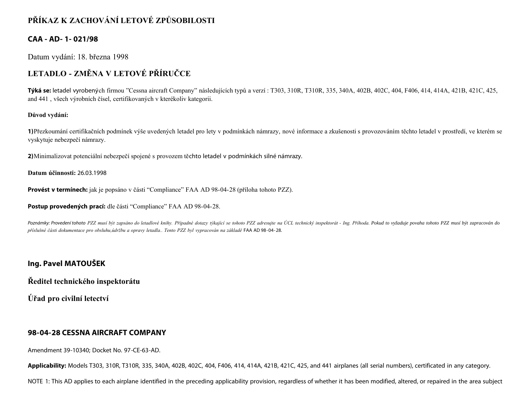# **PŘÍKAZ K ZACHOVÁNÍ LETOVÉ ZPŮSOBILOSTI**

### **CAA - AD- 1- 021/98**

Datum vydání: 18. března 1998

# **LETADLO - ZMĚNA V LETOVÉ PŘÍRUČCE**

**Týká se:** letadel vyrobených firmou "Cessna aircraft Company" následujících typů a verzí : T303, 310R, T310R, 335, 340A, 402B, 402C, 404, F406, 414, 414A, 421B, 421C, 425, and 441 , všech výrobních čísel, certifikovaných v kterékoliv kategorii.

#### **Důvod vydání:**

**1)**Přezkoumání certifikačních podmínek výše uvedených letadel pro lety v podmínkách námrazy, nové informace a zkušenosti s provozováním těchto letadel v prostředí, ve kterém se vyskytuje nebezpečí námrazy.

**2)**Minimalizovat potenciální nebezpečí spojené s provozem těchto letadel v podmínkách silné námrazy.

**Datum účinnosti:** 26.03.1998

**Provést v termínech:** jak je popsáno v části "Compliance" FAA AD 98-04-28 (příloha tohoto PZZ).

**Postup provedených prací:** dle části "Compliance" FAA AD 98-04-28.

Poznámky: Provedení tohoto PZZ musí být zapsáno do letadlové knihy. Případné dotazy týkající se tohoto PZZ adresujte na ÚCL technický inspektorát - Ing. Příhoda. Pokud to vyžaduje povaha tohoto PZZ musí být zapracován do *příslušné části dokumentace pro obsluhu,údržbu a opravy letadla.. Tento PZZ byl vypracován na základě* FAA AD 98-04-28.

## **Ing. Pavel MATOUŠEK**

**Ředitel technického inspektorátu**

**Úřad pro civilní letectví**

#### **98-04-28 CESSNA AIRCRAFT COMPANY**

Amendment 39-10340; Docket No. 97-CE-63-AD.

**Applicability:** Models T303, 310R, T310R, 335, 340A, 402B, 402C, 404, F406, 414, 414A, 421B, 421C, 425, and 441 airplanes (all serial numbers), certificated in any category.

NOTE 1: This AD applies to each airplane identified in the preceding applicability provision, regardless of whether it has been modified, altered, or repaired in the area subject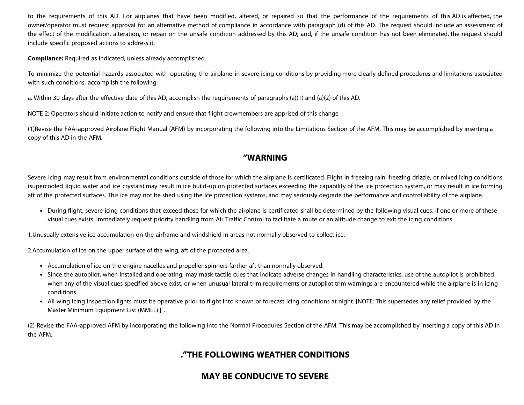to the requirements of this AD. For airplanes that have been modified, altered, or repaired so that the performance of the requirements of this AD is affected, the owner/operator must request approval for an alternative method of compliance in accordance with paragraph (d) of this AD. The request should include an assessment of the effect of the modification, alteration, or repair on the unsafe condition addressed by this AD; and, if the unsafe condition has not been eliminated, the request should include specific proposed actions to address it.

**Compliance:** Required as indicated, unless already accomplished.

To minimize the potential hazards associated with operating the airplane in severe icing conditions by providing more clearly defined procedures and limitations associated with such conditions, accomplish the following:

a. Within 30 days after the effective date of this AD, accomplish the requirements of paragraphs (a)(1) and (a)(2) of this AD.

NOTE 2: Operators should initiate action to notify and ensure that flight crewmembers are apprised of this change

(1)Revise the FAA-approved Airplane Flight Manual (AFM) by incorporating the following into the Limitations Section of the AFM. This may be accomplished by inserting a copy of this AD in the AFM.

## **"WARNING**

Severe icing may result from environmental conditions outside of those for which the airplane is certificated. Flight in freezing rain, freezing drizzle, or mixed icing conditions (supercooled liquid water and ice crystals) may result in ice build-up on protected surfaces exceeding the capability of the ice protection system, or may result in ice forming aft of the protected surfaces. This ice may not be shed using the ice protection systems, and may seriously degrade the performance and controllability of the airplane.

During flight, severe icing conditions that exceed those for which the airplane is certificated shall be determined by the following visual cues. If one or more of these visual cues exists, immediately request priority handling from Air Traffic Control to facilitate a route or an altitude change to exit the icing conditions.

1.Unusually extensive ice accumulation on the airframe and windshield in areas not normally observed to collect ice.

2.Accumulation of ice on the upper surface of the wing, aft of the protected area.

- Accumulation of ice on the engine nacelles and propeller spinners farther aft than normally observed.
- Since the autopilot, when installed and operating, may mask tactile cues that indicate adverse changes in handling characteristics, use of the autopilot is prohibited when any of the visual cues specified above exist, or when unusual lateral trim requirements or autopilot trim warnings are encountered while the airplane is in icing conditions.
- All wing icing inspection lights must be operative prior to flight into known or forecast icing conditions at night. [NOTE: This supersedes any relief provided by the Master Minimum Equipment List (MMEL).]".

(2) Revise the FAA-approved AFM by incorporating the following into the Normal Procedures Section of the AFM. This may be accomplished by inserting a copy of this AD in the AFM.

## **."THE FOLLOWING WEATHER CONDITIONS**

## **MAY BE CONDUCIVE TO SEVERE**